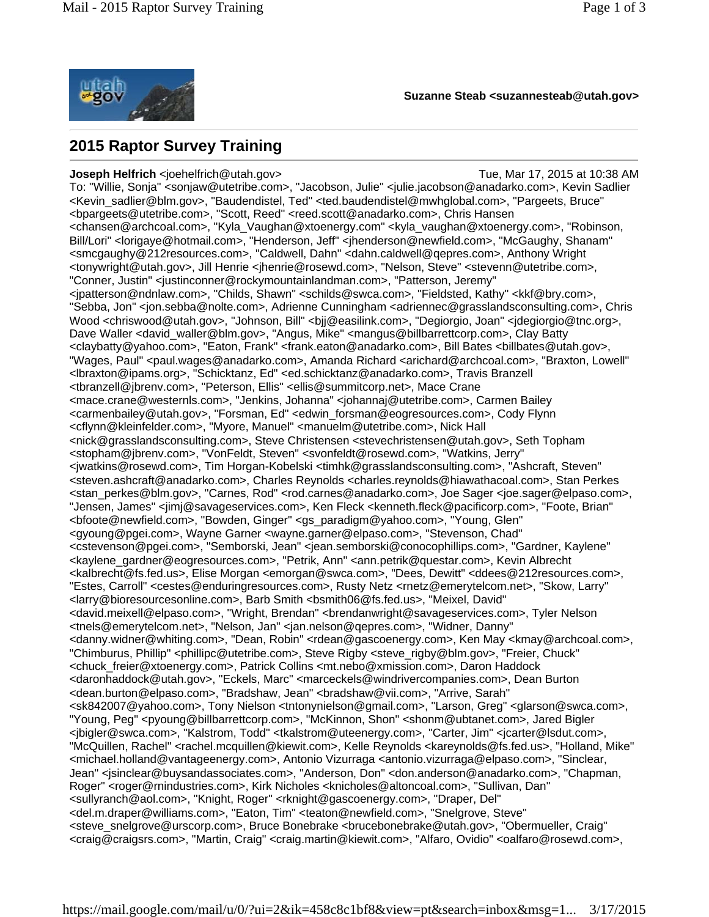

**Suzanne Steab <suzannesteab@utah.gov>**

## **2015 Raptor Survey Training**

**Joseph Helfrich** <ioehelfrich@utah.gov> Tue, Mar 17, 2015 at 10:38 AM To: "Willie, Sonja" <sonjaw@utetribe.com>, "Jacobson, Julie" <julie.jacobson@anadarko.com>, Kevin Sadlier <Kevin\_sadlier@blm.gov>, "Baudendistel, Ted" <ted.baudendistel@mwhglobal.com>, "Pargeets, Bruce" <bpargeets@utetribe.com>, "Scott, Reed" <reed.scott@anadarko.com>, Chris Hansen <chansen@archcoal.com>, "Kyla\_Vaughan@xtoenergy.com" <kyla\_vaughan@xtoenergy.com>, "Robinson, Bill/Lori" <lorigaye@hotmail.com>, "Henderson, Jeff" <jhenderson@newfield.com>, "McGaughy, Shanam" <smcgaughy@212resources.com>, "Caldwell, Dahn" <dahn.caldwell@qepres.com>, Anthony Wright <tonywright@utah.gov>, Jill Henrie <jhenrie@rosewd.com>, "Nelson, Steve" <stevenn@utetribe.com>, "Conner, Justin" <justinconner@rockymountainlandman.com>, "Patterson, Jeremy" <jpatterson@ndnlaw.com>, "Childs, Shawn" <schilds@swca.com>, "Fieldsted, Kathy" <kkf@bry.com>, "Sebba, Jon" <jon.sebba@nolte.com>, Adrienne Cunningham <adriennec@grasslandsconsulting.com>, Chris Wood <chriswood@utah.gov>, "Johnson, Bill" <br/> <br/>|@easilink.com>, "Degiorgio, Joan" <idegiorgio@tnc.org>, Dave Waller <david waller@blm.gov>, "Angus, Mike" <mangus@billbarrettcorp.com>, Clay Batty <claybatty@yahoo.com>, "Eaton, Frank" <frank.eaton@anadarko.com>, Bill Bates <billbates@utah.gov>, "Wages, Paul" <paul.wages@anadarko.com>, Amanda Richard <arichard@archcoal.com>, "Braxton, Lowell" <lbraxton@ipams.org>, "Schicktanz, Ed" <ed.schicktanz@anadarko.com>, Travis Branzell <tbranzell@jbrenv.com>, "Peterson, Ellis" <ellis@summitcorp.net>, Mace Crane <mace.crane@westernls.com>, "Jenkins, Johanna" <johannaj@utetribe.com>, Carmen Bailey <carmenbailey@utah.gov>, "Forsman, Ed" <edwin\_forsman@eogresources.com>, Cody Flynn <cflynn@kleinfelder.com>, "Myore, Manuel" <manuelm@utetribe.com>, Nick Hall <nick@grasslandsconsulting.com>, Steve Christensen <stevechristensen@utah.gov>, Seth Topham <stopham@jbrenv.com>, "VonFeldt, Steven" <svonfeldt@rosewd.com>, "Watkins, Jerry" <jwatkins@rosewd.com>, Tim Horgan-Kobelski <timhk@grasslandsconsulting.com>, "Ashcraft, Steven" <steven.ashcraft@anadarko.com>, Charles Reynolds <charles.reynolds@hiawathacoal.com>, Stan Perkes <stan\_perkes@blm.gov>, "Carnes, Rod" <rod.carnes@anadarko.com>, Joe Sager <joe.sager@elpaso.com>, "Jensen, James" <jimj@savageservices.com>, Ken Fleck <kenneth.fleck@pacificorp.com>, "Foote, Brian" <bfoote@newfield.com>, "Bowden, Ginger" <gs\_paradigm@yahoo.com>, "Young, Glen" <gyoung@pgei.com>, Wayne Garner <wayne.garner@elpaso.com>, "Stevenson, Chad" <cstevenson@pgei.com>, "Semborski, Jean" <jean.semborski@conocophillips.com>, "Gardner, Kaylene" <kaylene\_gardner@eogresources.com>, "Petrik, Ann" <ann.petrik@questar.com>, Kevin Albrecht <kalbrecht@fs.fed.us>, Elise Morgan <emorgan@swca.com>, "Dees, Dewitt" <ddees@212resources.com>, "Estes, Carroll" <cestes@enduringresources.com>, Rusty Netz <rnetz@emerytelcom.net>, "Skow, Larry" <larry@bioresourcesonline.com>, Barb Smith <bsmith06@fs.fed.us>, "Meixel, David" <david.meixell@elpaso.com>, "Wright, Brendan" <brendanwright@savageservices.com>, Tyler Nelson <tnels@emerytelcom.net>, "Nelson, Jan" <jan.nelson@qepres.com>, "Widner, Danny" <danny.widner@whiting.com>, "Dean, Robin" <rdean@gascoenergy.com>, Ken May <kmay@archcoal.com>, "Chimburus, Phillip" <phillipc@utetribe.com>, Steve Rigby <steve rigby@blm.gov>, "Freier, Chuck" <chuck\_freier@xtoenergy.com>, Patrick Collins <mt.nebo@xmission.com>, Daron Haddock <daronhaddock@utah.gov>, "Eckels, Marc" <marceckels@windrivercompanies.com>, Dean Burton <dean.burton@elpaso.com>, "Bradshaw, Jean" <bradshaw@vii.com>, "Arrive, Sarah" <sk842007@yahoo.com>, Tony Nielson <tntonynielson@gmail.com>, "Larson, Greg" <glarson@swca.com>, "Young, Peg" <pyoung@billbarrettcorp.com>, "McKinnon, Shon" <shonm@ubtanet.com>, Jared Bigler <jbigler@swca.com>, "Kalstrom, Todd" <tkalstrom@uteenergy.com>, "Carter, Jim" <jcarter@lsdut.com>, "McQuillen, Rachel" <rachel.mcquillen@kiewit.com>, Kelle Reynolds <kareynolds@fs.fed.us>, "Holland, Mike" <michael.holland@vantageenergy.com>, Antonio Vizurraga <antonio.vizurraga@elpaso.com>, "Sinclear, Jean" <jsinclear@buysandassociates.com>, "Anderson, Don" <don.anderson@anadarko.com>, "Chapman, Roger" <roger@rnindustries.com>, Kirk Nicholes <knicholes@altoncoal.com>, "Sullivan, Dan" <sullyranch@aol.com>, "Knight, Roger" <rknight@gascoenergy.com>, "Draper, Del" <del.m.draper@williams.com>, "Eaton, Tim" <teaton@newfield.com>, "Snelgrove, Steve" <steve\_snelgrove@urscorp.com>, Bruce Bonebrake <brucebonebrake@utah.gov>, "Obermueller, Craig" <craig@craigsrs.com>, "Martin, Craig" <craig.martin@kiewit.com>, "Alfaro, Ovidio" <oalfaro@rosewd.com>,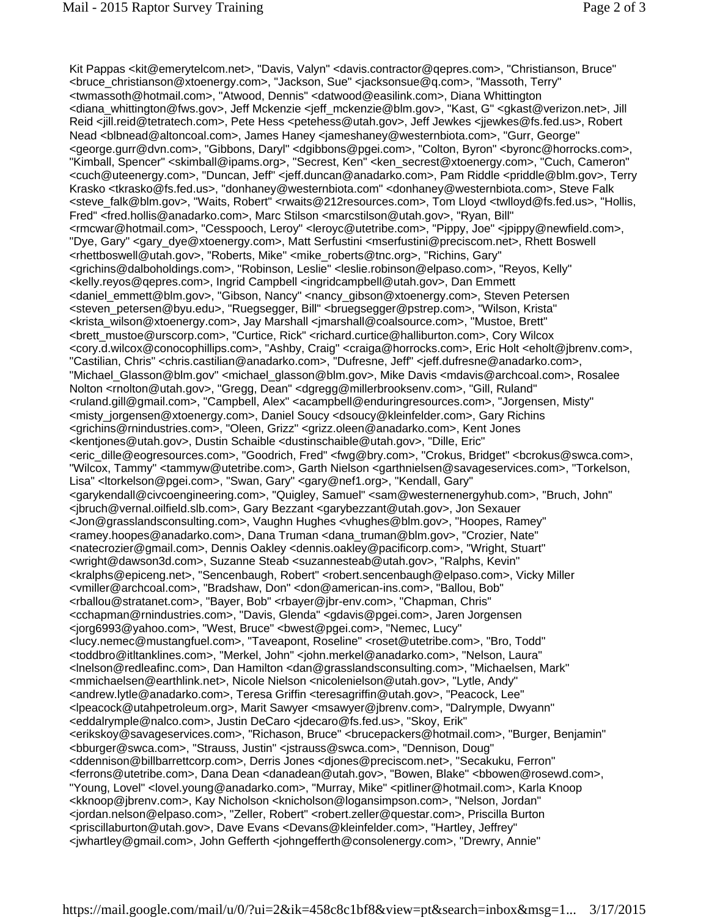Kit Pappas <kit@emerytelcom.net>, "Davis, Valyn" <davis.contractor@qepres.com>, "Christianson, Bruce" <bruce\_christianson@xtoenergy.com>, "Jackson, Sue" <jacksonsue@q.com>, "Massoth, Terry" <twmassoth@hotmail.com>, "Atwood, Dennis" <datwood@easilink.com>, Diana Whittington <diana\_whittington@fws.gov>, Jeff Mckenzie <jeff\_mckenzie@blm.gov>, "Kast, G" <gkast@verizon.net>, Jill Reid <jill.reid@tetratech.com>, Pete Hess <petehess@utah.gov>, Jeff Jewkes <jjewkes@fs.fed.us>, Robert Nead <blbnead@altoncoal.com>, James Haney <jameshaney@westernbiota.com>, "Gurr, George" <george.gurr@dvn.com>, "Gibbons, Daryl" <dgibbons@pgei.com>, "Colton, Byron" <byronc@horrocks.com>, "Kimball, Spencer" <skimball@ipams.org>, "Secrest, Ken" <ken\_secrest@xtoenergy.com>, "Cuch, Cameron" <cuch@uteenergy.com>, "Duncan, Jeff" <jeff.duncan@anadarko.com>, Pam Riddle <priddle@blm.gov>, Terry Krasko <tkrasko@fs.fed.us>, "donhaney@westernbiota.com" <donhaney@westernbiota.com>, Steve Falk <steve\_falk@blm.gov>, "Waits, Robert" <rwaits@212resources.com>, Tom Lloyd <twlloyd@fs.fed.us>, "Hollis, Fred" <fred.hollis@anadarko.com>, Marc Stilson <marcstilson@utah.gov>, "Ryan, Bill" <rmcwar@hotmail.com>, "Cesspooch, Leroy" <leroyc@utetribe.com>, "Pippy, Joe" <jpippy@newfield.com>, "Dye, Gary" <gary\_dye@xtoenergy.com>, Matt Serfustini <mserfustini@preciscom.net>, Rhett Boswell <rhettboswell@utah.gov>, "Roberts, Mike" <mike\_roberts@tnc.org>, "Richins, Gary" <grichins@dalboholdings.com>, "Robinson, Leslie" <leslie.robinson@elpaso.com>, "Reyos, Kelly" <kelly.reyos@qepres.com>, Ingrid Campbell <ingridcampbell@utah.gov>, Dan Emmett <daniel\_emmett@blm.gov>, "Gibson, Nancy" <nancy\_gibson@xtoenergy.com>, Steven Petersen <steven\_petersen@byu.edu>, "Ruegsegger, Bill" <bruegsegger@pstrep.com>, "Wilson, Krista" <krista\_wilson@xtoenergy.com>, Jay Marshall <jmarshall@coalsource.com>, "Mustoe, Brett" <brett\_mustoe@urscorp.com>, "Curtice, Rick" <richard.curtice@halliburton.com>, Cory Wilcox <cory.d.wilcox@conocophillips.com>, "Ashby, Craig" <craiga@horrocks.com>, Eric Holt <eholt@jbrenv.com>, "Castilian, Chris" <chris.castilian@anadarko.com>, "Dufresne, Jeff" <jeff.dufresne@anadarko.com>, "Michael Glasson@blm.gov" <michael glasson@blm.gov>, Mike Davis <mdavis@archcoal.com>, Rosalee Nolton <rnolton@utah.gov>, "Gregg, Dean" <dgregg@millerbrooksenv.com>, "Gill, Ruland" <ruland.gill@gmail.com>, "Campbell, Alex" <acampbell@enduringresources.com>, "Jorgensen, Misty" <misty\_jorgensen@xtoenergy.com>, Daniel Soucy <dsoucy@kleinfelder.com>, Gary Richins <grichins@rnindustries.com>, "Oleen, Grizz" <grizz.oleen@anadarko.com>, Kent Jones <kentjones@utah.gov>, Dustin Schaible <dustinschaible@utah.gov>, "Dille, Eric" <eric\_dille@eogresources.com>, "Goodrich, Fred" <fwg@bry.com>, "Crokus, Bridget" <bcrokus@swca.com>, "Wilcox, Tammy" <tammyw@utetribe.com>, Garth Nielson <garthnielsen@savageservices.com>, "Torkelson, Lisa" <ltorkelson@pgei.com>, "Swan, Gary" <gary@nef1.org>, "Kendall, Gary" <garykendall@civcoengineering.com>, "Quigley, Samuel" <sam@westernenergyhub.com>, "Bruch, John" <jbruch@vernal.oilfield.slb.com>, Gary Bezzant <garybezzant@utah.gov>, Jon Sexauer <Jon@grasslandsconsulting.com>, Vaughn Hughes <vhughes@blm.gov>, "Hoopes, Ramey" <ramey.hoopes@anadarko.com>, Dana Truman <dana\_truman@blm.gov>, "Crozier, Nate" <natecrozier@gmail.com>, Dennis Oakley <dennis.oakley@pacificorp.com>, "Wright, Stuart" <wright@dawson3d.com>, Suzanne Steab <suzannesteab@utah.gov>, "Ralphs, Kevin" <kralphs@epiceng.net>, "Sencenbaugh, Robert" <robert.sencenbaugh@elpaso.com>, Vicky Miller <vmiller@archcoal.com>, "Bradshaw, Don" <don@american-ins.com>, "Ballou, Bob" <rballou@stratanet.com>, "Bayer, Bob" <rbayer@jbr-env.com>, "Chapman, Chris" <cchapman@rnindustries.com>, "Davis, Glenda" <gdavis@pgei.com>, Jaren Jorgensen <jorg6993@yahoo.com>, "West, Bruce" <bwest@pgei.com>, "Nemec, Lucy" <lucy.nemec@mustangfuel.com>, "Taveapont, Roseline" <roset@utetribe.com>, "Bro, Todd" <toddbro@itltanklines.com>, "Merkel, John" <john.merkel@anadarko.com>, "Nelson, Laura" <lnelson@redleafinc.com>, Dan Hamilton <dan@grasslandsconsulting.com>, "Michaelsen, Mark" <mmichaelsen@earthlink.net>, Nicole Nielson <nicolenielson@utah.gov>, "Lytle, Andy" <andrew.lytle@anadarko.com>, Teresa Griffin <teresagriffin@utah.gov>, "Peacock, Lee" <lpeacock@utahpetroleum.org>, Marit Sawyer <msawyer@jbrenv.com>, "Dalrymple, Dwyann" <eddalrymple@nalco.com>, Justin DeCaro <jdecaro@fs.fed.us>, "Skoy, Erik" <erikskoy@savageservices.com>, "Richason, Bruce" <brucepackers@hotmail.com>, "Burger, Benjamin" <bburger@swca.com>, "Strauss, Justin" <jstrauss@swca.com>, "Dennison, Doug" <ddennison@billbarrettcorp.com>, Derris Jones <djones@preciscom.net>, "Secakuku, Ferron" <ferrons@utetribe.com>, Dana Dean <danadean@utah.gov>, "Bowen, Blake" <bbowen@rosewd.com>, "Young, Lovel" <lovel.young@anadarko.com>, "Murray, Mike" <pitliner@hotmail.com>, Karla Knoop <kknoop@jbrenv.com>, Kay Nicholson <knicholson@logansimpson.com>, "Nelson, Jordan" <jordan.nelson@elpaso.com>, "Zeller, Robert" <robert.zeller@questar.com>, Priscilla Burton <priscillaburton@utah.gov>, Dave Evans <Devans@kleinfelder.com>, "Hartley, Jeffrey" <jwhartley@gmail.com>, John Gefferth <johngefferth@consolenergy.com>, "Drewry, Annie"